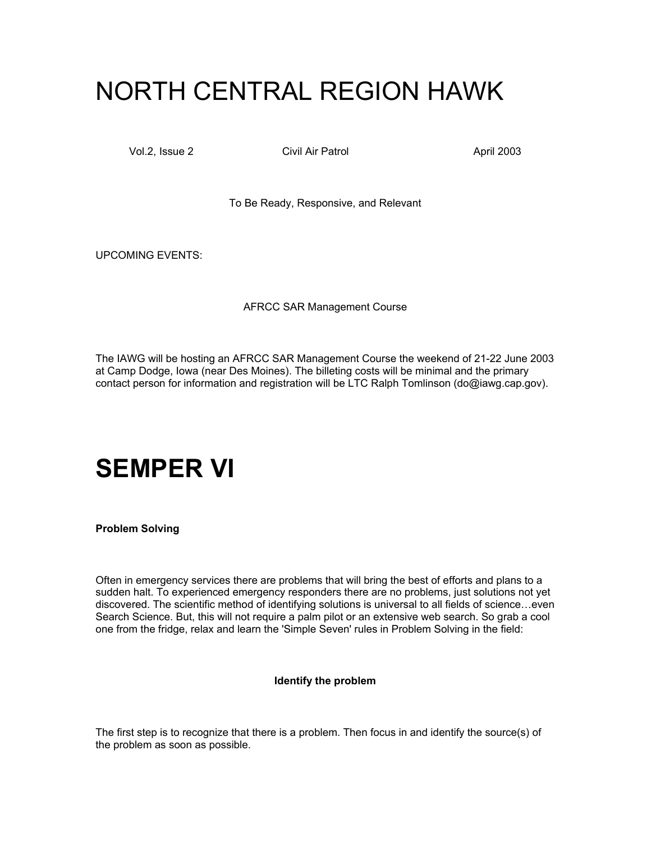# NORTH CENTRAL REGION HAWK

Vol.2, Issue 2 Civil Air Patrol April 2003

To Be Ready, Responsive, and Relevant

UPCOMING EVENTS:

AFRCC SAR Management Course

The IAWG will be hosting an AFRCC SAR Management Course the weekend of 21-22 June 2003 at Camp Dodge, Iowa (near Des Moines). The billeting costs will be minimal and the primary contact person for information and registration will be LTC Ralph Tomlinson (do@iawg.cap.gov).

## **SEMPER VI**

**Problem Solving** 

Often in emergency services there are problems that will bring the best of efforts and plans to a sudden halt. To experienced emergency responders there are no problems, just solutions not yet discovered. The scientific method of identifying solutions is universal to all fields of science…even Search Science. But, this will not require a palm pilot or an extensive web search. So grab a cool one from the fridge, relax and learn the 'Simple Seven' rules in Problem Solving in the field:

### **Identify the problem**

The first step is to recognize that there is a problem. Then focus in and identify the source(s) of the problem as soon as possible.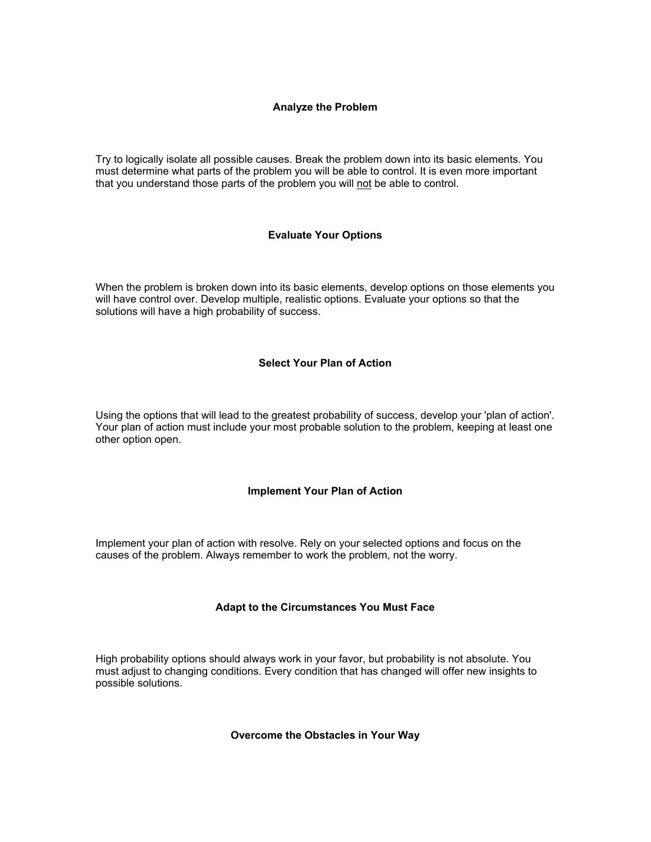### **Analyze the Problem**

Try to logically isolate all possible causes. Break the problem down into its basic elements. You must determine what parts of the problem you will be able to control. It is even more important that you understand those parts of the problem you will not be able to control.

### **Evaluate Your Options**

When the problem is broken down into its basic elements, develop options on those elements you will have control over. Develop multiple, realistic options. Evaluate your options so that the solutions will have a high probability of success.

### **Select Your Plan of Action**

Using the options that will lead to the greatest probability of success, develop your 'plan of action'. Your plan of action must include your most probable solution to the problem, keeping at least one other option open.

### **Implement Your Plan of Action**

Implement your plan of action with resolve. Rely on your selected options and focus on the causes of the problem. Always remember to work the problem, not the worry.

### **Adapt to the Circumstances You Must Face**

High probability options should always work in your favor, but probability is not absolute. You must adjust to changing conditions. Every condition that has changed will offer new insights to possible solutions.

**Overcome the Obstacles in Your Way**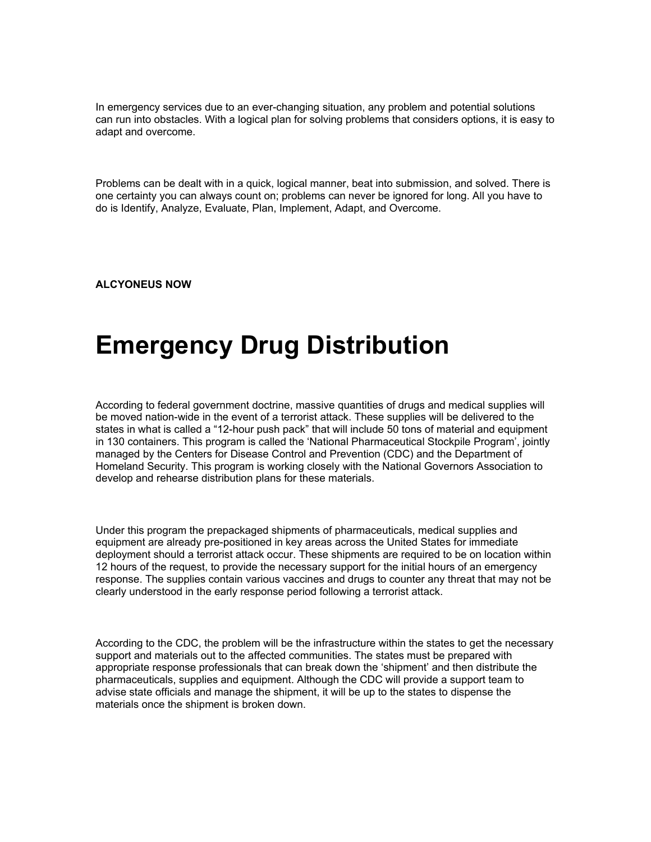In emergency services due to an ever-changing situation, any problem and potential solutions can run into obstacles. With a logical plan for solving problems that considers options, it is easy to adapt and overcome.

Problems can be dealt with in a quick, logical manner, beat into submission, and solved. There is one certainty you can always count on; problems can never be ignored for long. All you have to do is Identify, Analyze, Evaluate, Plan, Implement, Adapt, and Overcome.

**ALCYONEUS NOW** 

# **Emergency Drug Distribution**

According to federal government doctrine, massive quantities of drugs and medical supplies will be moved nation-wide in the event of a terrorist attack. These supplies will be delivered to the states in what is called a "12-hour push pack" that will include 50 tons of material and equipment in 130 containers. This program is called the 'National Pharmaceutical Stockpile Program', jointly managed by the Centers for Disease Control and Prevention (CDC) and the Department of Homeland Security. This program is working closely with the National Governors Association to develop and rehearse distribution plans for these materials.

Under this program the prepackaged shipments of pharmaceuticals, medical supplies and equipment are already pre-positioned in key areas across the United States for immediate deployment should a terrorist attack occur. These shipments are required to be on location within 12 hours of the request, to provide the necessary support for the initial hours of an emergency response. The supplies contain various vaccines and drugs to counter any threat that may not be clearly understood in the early response period following a terrorist attack.

According to the CDC, the problem will be the infrastructure within the states to get the necessary support and materials out to the affected communities. The states must be prepared with appropriate response professionals that can break down the 'shipment' and then distribute the pharmaceuticals, supplies and equipment. Although the CDC will provide a support team to advise state officials and manage the shipment, it will be up to the states to dispense the materials once the shipment is broken down.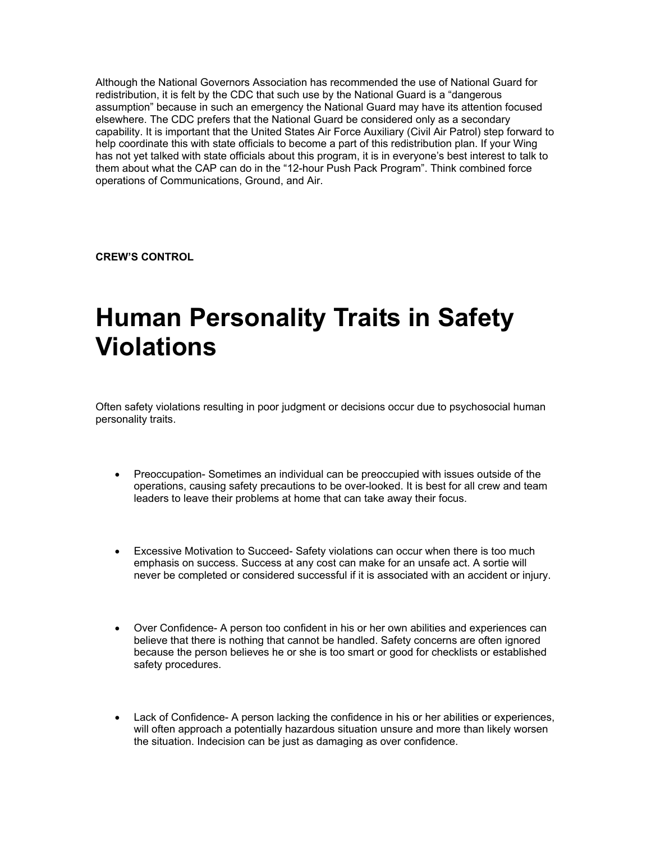Although the National Governors Association has recommended the use of National Guard for redistribution, it is felt by the CDC that such use by the National Guard is a "dangerous assumption" because in such an emergency the National Guard may have its attention focused elsewhere. The CDC prefers that the National Guard be considered only as a secondary capability. It is important that the United States Air Force Auxiliary (Civil Air Patrol) step forward to help coordinate this with state officials to become a part of this redistribution plan. If your Wing has not yet talked with state officials about this program, it is in everyone's best interest to talk to them about what the CAP can do in the "12-hour Push Pack Program". Think combined force operations of Communications, Ground, and Air.

**CREW'S CONTROL** 

# **Human Personality Traits in Safety Violations**

Often safety violations resulting in poor judgment or decisions occur due to psychosocial human personality traits.

- Preoccupation- Sometimes an individual can be preoccupied with issues outside of the operations, causing safety precautions to be over-looked. It is best for all crew and team leaders to leave their problems at home that can take away their focus.
- Excessive Motivation to Succeed- Safety violations can occur when there is too much emphasis on success. Success at any cost can make for an unsafe act. A sortie will never be completed or considered successful if it is associated with an accident or injury.
- Over Confidence- A person too confident in his or her own abilities and experiences can believe that there is nothing that cannot be handled. Safety concerns are often ignored because the person believes he or she is too smart or good for checklists or established safety procedures.
- Lack of Confidence- A person lacking the confidence in his or her abilities or experiences, will often approach a potentially hazardous situation unsure and more than likely worsen the situation. Indecision can be just as damaging as over confidence.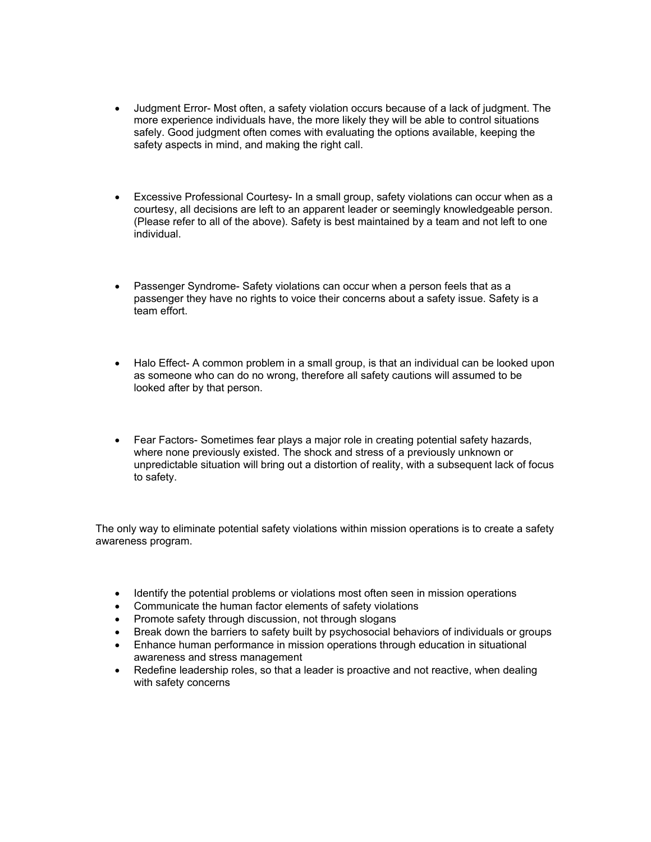- Judgment Error- Most often, a safety violation occurs because of a lack of judgment. The more experience individuals have, the more likely they will be able to control situations safely. Good judgment often comes with evaluating the options available, keeping the safety aspects in mind, and making the right call.
- Excessive Professional Courtesy- In a small group, safety violations can occur when as a courtesy, all decisions are left to an apparent leader or seemingly knowledgeable person. (Please refer to all of the above). Safety is best maintained by a team and not left to one individual.
- Passenger Syndrome- Safety violations can occur when a person feels that as a passenger they have no rights to voice their concerns about a safety issue. Safety is a team effort.
- Halo Effect- A common problem in a small group, is that an individual can be looked upon as someone who can do no wrong, therefore all safety cautions will assumed to be looked after by that person.
- Fear Factors- Sometimes fear plays a major role in creating potential safety hazards, where none previously existed. The shock and stress of a previously unknown or unpredictable situation will bring out a distortion of reality, with a subsequent lack of focus to safety.

The only way to eliminate potential safety violations within mission operations is to create a safety awareness program.

- Identify the potential problems or violations most often seen in mission operations
- Communicate the human factor elements of safety violations
- Promote safety through discussion, not through slogans
- Break down the barriers to safety built by psychosocial behaviors of individuals or groups
- Enhance human performance in mission operations through education in situational awareness and stress management
- Redefine leadership roles, so that a leader is proactive and not reactive, when dealing with safety concerns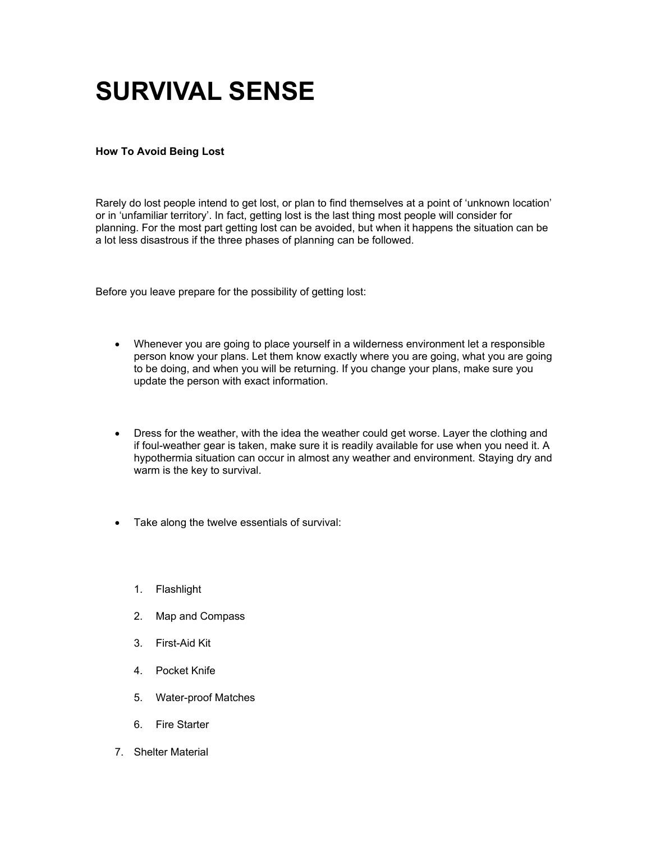# **SURVIVAL SENSE**

### **How To Avoid Being Lost**

Rarely do lost people intend to get lost, or plan to find themselves at a point of 'unknown location' or in 'unfamiliar territory'. In fact, getting lost is the last thing most people will consider for planning. For the most part getting lost can be avoided, but when it happens the situation can be a lot less disastrous if the three phases of planning can be followed.

Before you leave prepare for the possibility of getting lost:

- Whenever you are going to place yourself in a wilderness environment let a responsible person know your plans. Let them know exactly where you are going, what you are going to be doing, and when you will be returning. If you change your plans, make sure you update the person with exact information.
- Dress for the weather, with the idea the weather could get worse. Layer the clothing and if foul-weather gear is taken, make sure it is readily available for use when you need it. A hypothermia situation can occur in almost any weather and environment. Staying dry and warm is the key to survival.
- Take along the twelve essentials of survival:
	- 1. Flashlight
	- 2. Map and Compass
	- 3. First-Aid Kit
	- 4. Pocket Knife
	- 5. Water-proof Matches
	- 6. Fire Starter
- 7. Shelter Material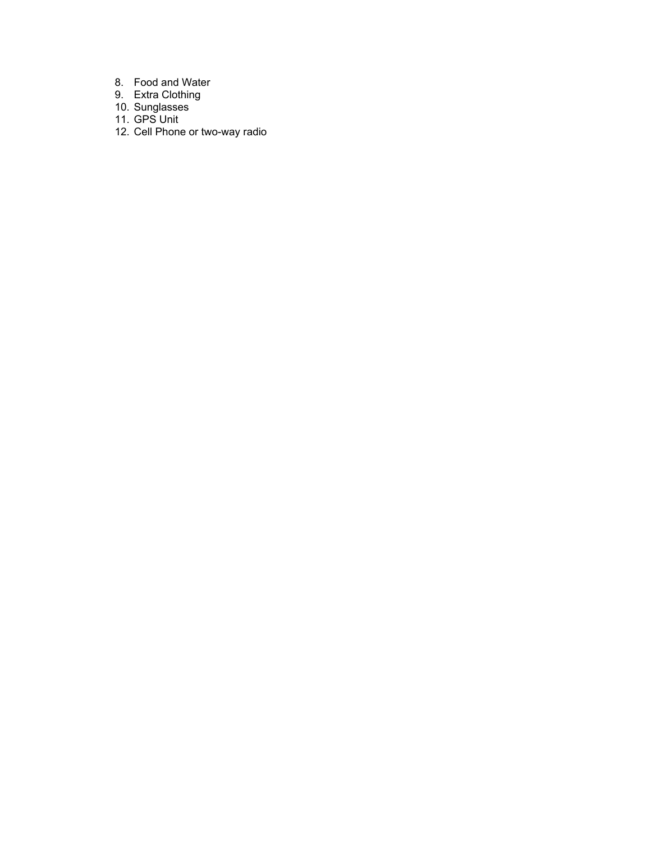- 8. Food and Water
- 9. Extra Clothing
- 10. Sunglasses
- 11. GPS Unit
- 12. Cell Phone or two-way radio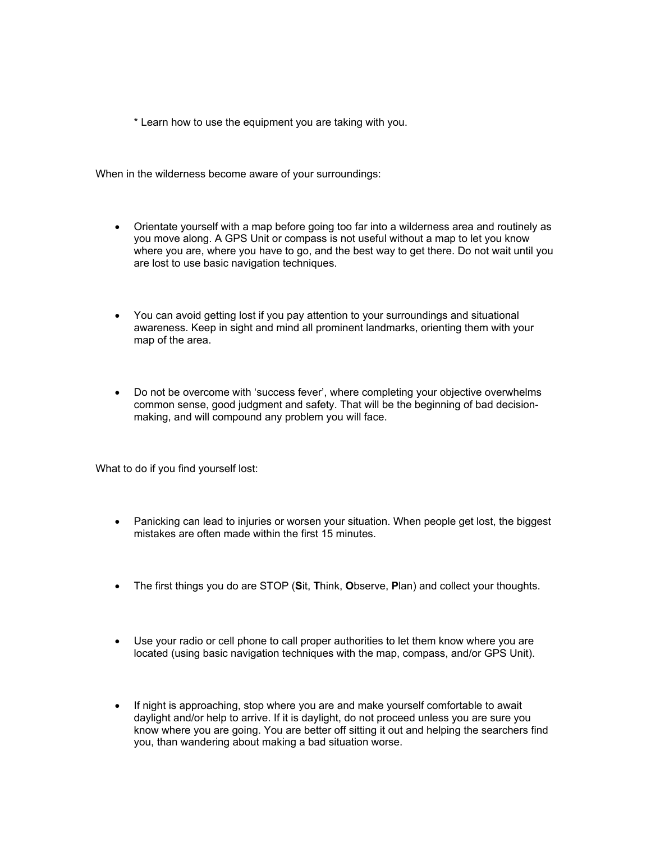\* Learn how to use the equipment you are taking with you.

When in the wilderness become aware of your surroundings:

- Orientate yourself with a map before going too far into a wilderness area and routinely as you move along. A GPS Unit or compass is not useful without a map to let you know where you are, where you have to go, and the best way to get there. Do not wait until you are lost to use basic navigation techniques.
- You can avoid getting lost if you pay attention to your surroundings and situational awareness. Keep in sight and mind all prominent landmarks, orienting them with your map of the area.
- Do not be overcome with 'success fever', where completing your objective overwhelms common sense, good judgment and safety. That will be the beginning of bad decisionmaking, and will compound any problem you will face.

What to do if you find yourself lost:

- Panicking can lead to injuries or worsen your situation. When people get lost, the biggest mistakes are often made within the first 15 minutes.
- The first things you do are STOP (**S**it, **T**hink, **O**bserve, **P**lan) and collect your thoughts.
- Use your radio or cell phone to call proper authorities to let them know where you are located (using basic navigation techniques with the map, compass, and/or GPS Unit).
- If night is approaching, stop where you are and make yourself comfortable to await daylight and/or help to arrive. If it is daylight, do not proceed unless you are sure you know where you are going. You are better off sitting it out and helping the searchers find you, than wandering about making a bad situation worse.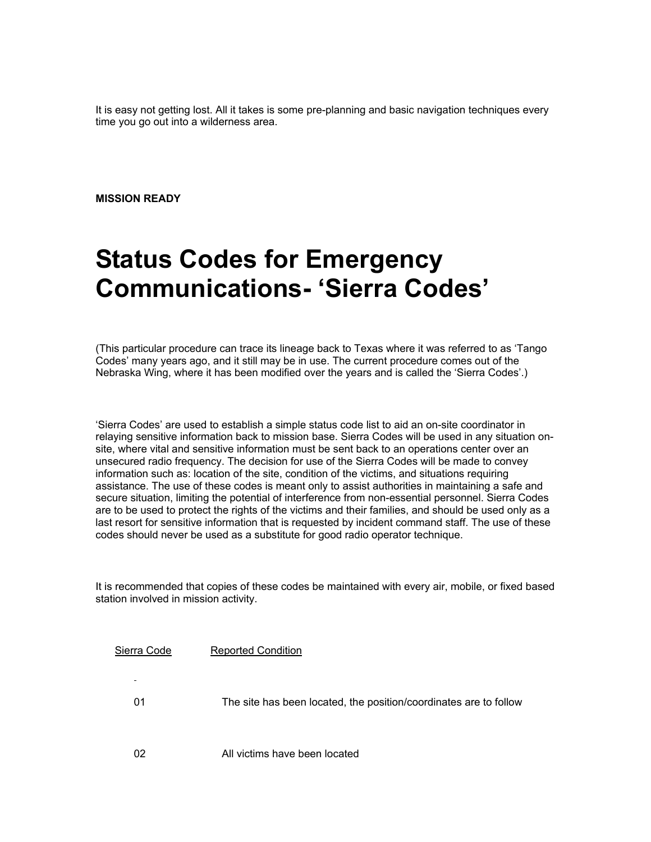It is easy not getting lost. All it takes is some pre-planning and basic navigation techniques every time you go out into a wilderness area.

**MISSION READY** 

## **Status Codes for Emergency Communications- 'Sierra Codes'**

(This particular procedure can trace its lineage back to Texas where it was referred to as 'Tango Codes' many years ago, and it still may be in use. The current procedure comes out of the Nebraska Wing, where it has been modified over the years and is called the 'Sierra Codes'.)

'Sierra Codes' are used to establish a simple status code list to aid an on-site coordinator in relaying sensitive information back to mission base. Sierra Codes will be used in any situation onsite, where vital and sensitive information must be sent back to an operations center over an unsecured radio frequency. The decision for use of the Sierra Codes will be made to convey information such as: location of the site, condition of the victims, and situations requiring assistance. The use of these codes is meant only to assist authorities in maintaining a safe and secure situation, limiting the potential of interference from non-essential personnel. Sierra Codes are to be used to protect the rights of the victims and their families, and should be used only as a last resort for sensitive information that is requested by incident command staff. The use of these codes should never be used as a substitute for good radio operator technique.

It is recommended that copies of these codes be maintained with every air, mobile, or fixed based station involved in mission activity.

| Sierra Code          | <b>Reported Condition</b>                                         |
|----------------------|-------------------------------------------------------------------|
| $\blacksquare$<br>01 | The site has been located, the position/coordinates are to follow |
| 02                   | All victims have been located                                     |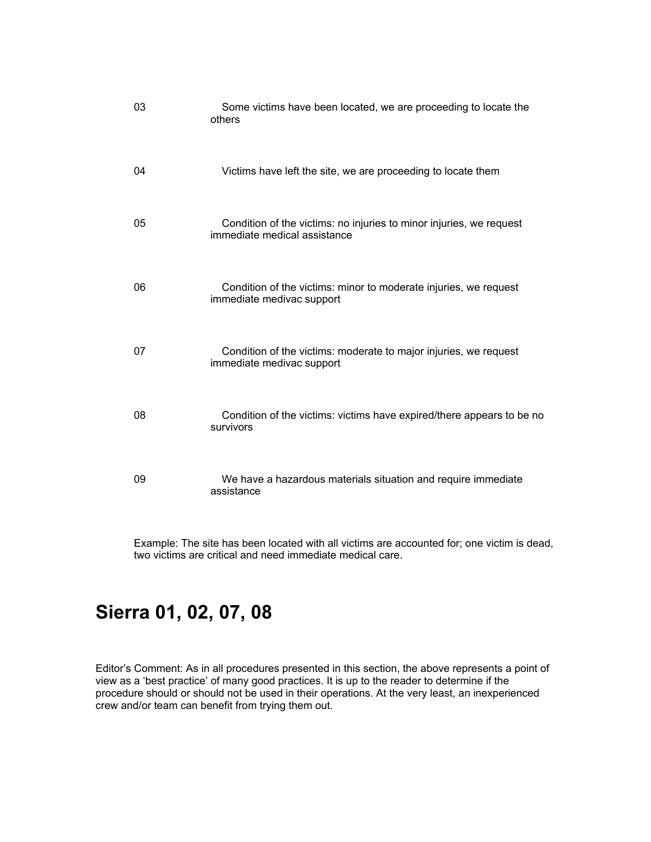| 03 | Some victims have been located, we are proceeding to locate the<br>others                           |
|----|-----------------------------------------------------------------------------------------------------|
| 04 | Victims have left the site, we are proceeding to locate them                                        |
| 05 | Condition of the victims: no injuries to minor injuries, we request<br>immediate medical assistance |
| 06 | Condition of the victims: minor to moderate injuries, we request<br>immediate medivac support       |
| 07 | Condition of the victims: moderate to major injuries, we request<br>immediate medivac support       |
| 08 | Condition of the victims: victims have expired/there appears to be no<br>survivors                  |
| 09 | We have a hazardous materials situation and require immediate<br>assistance                         |

Example: The site has been located with all victims are accounted for; one victim is dead, two victims are critical and need immediate medical care.

### **Sierra 01, 02, 07, 08**

Editor's Comment: As in all procedures presented in this section, the above represents a point of view as a 'best practice' of many good practices. It is up to the reader to determine if the procedure should or should not be used in their operations. At the very least, an inexperienced crew and/or team can benefit from trying them out.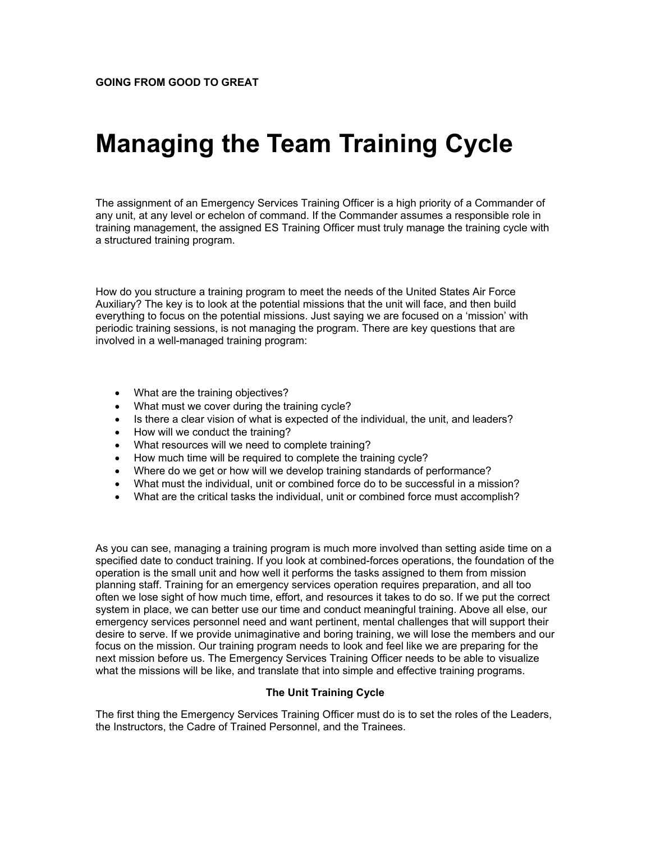# **Managing the Team Training Cycle**

The assignment of an Emergency Services Training Officer is a high priority of a Commander of any unit, at any level or echelon of command. If the Commander assumes a responsible role in training management, the assigned ES Training Officer must truly manage the training cycle with a structured training program.

How do you structure a training program to meet the needs of the United States Air Force Auxiliary? The key is to look at the potential missions that the unit will face, and then build everything to focus on the potential missions. Just saying we are focused on a 'mission' with periodic training sessions, is not managing the program. There are key questions that are involved in a well-managed training program:

- What are the training objectives?
- What must we cover during the training cycle?
- Is there a clear vision of what is expected of the individual, the unit, and leaders?
- How will we conduct the training?
- What resources will we need to complete training?
- How much time will be required to complete the training cycle?
- Where do we get or how will we develop training standards of performance?
- What must the individual, unit or combined force do to be successful in a mission?
- What are the critical tasks the individual, unit or combined force must accomplish?

As you can see, managing a training program is much more involved than setting aside time on a specified date to conduct training. If you look at combined-forces operations, the foundation of the operation is the small unit and how well it performs the tasks assigned to them from mission planning staff. Training for an emergency services operation requires preparation, and all too often we lose sight of how much time, effort, and resources it takes to do so. If we put the correct system in place, we can better use our time and conduct meaningful training. Above all else, our emergency services personnel need and want pertinent, mental challenges that will support their desire to serve. If we provide unimaginative and boring training, we will lose the members and our focus on the mission. Our training program needs to look and feel like we are preparing for the next mission before us. The Emergency Services Training Officer needs to be able to visualize what the missions will be like, and translate that into simple and effective training programs.

### **The Unit Training Cycle**

The first thing the Emergency Services Training Officer must do is to set the roles of the Leaders, the Instructors, the Cadre of Trained Personnel, and the Trainees.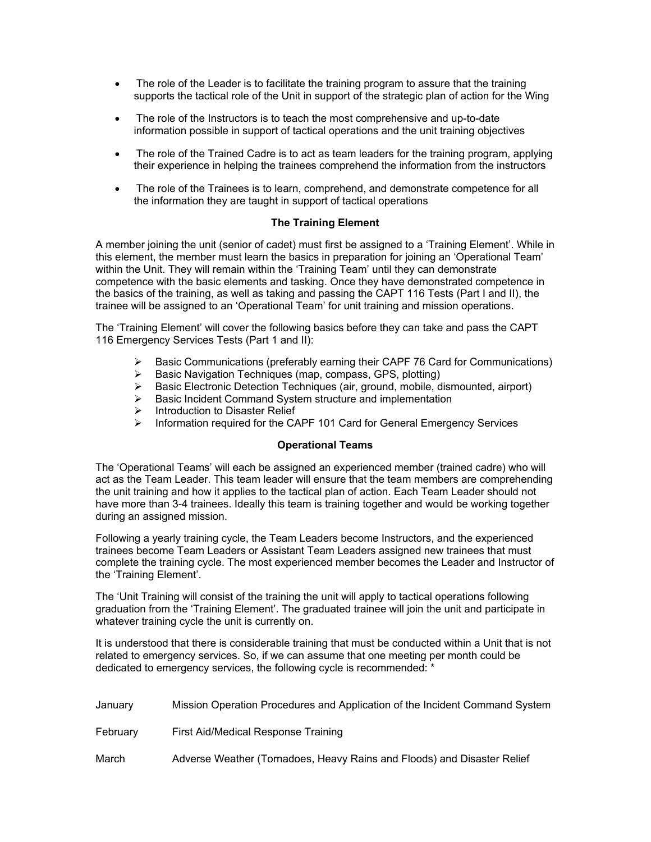- The role of the Leader is to facilitate the training program to assure that the training supports the tactical role of the Unit in support of the strategic plan of action for the Wing
- The role of the Instructors is to teach the most comprehensive and up-to-date information possible in support of tactical operations and the unit training objectives
- The role of the Trained Cadre is to act as team leaders for the training program, applying their experience in helping the trainees comprehend the information from the instructors
- The role of the Trainees is to learn, comprehend, and demonstrate competence for all the information they are taught in support of tactical operations

### **The Training Element**

A member joining the unit (senior of cadet) must first be assigned to a 'Training Element'. While in this element, the member must learn the basics in preparation for joining an 'Operational Team' within the Unit. They will remain within the 'Training Team' until they can demonstrate competence with the basic elements and tasking. Once they have demonstrated competence in the basics of the training, as well as taking and passing the CAPT 116 Tests (Part I and II), the trainee will be assigned to an 'Operational Team' for unit training and mission operations.

The 'Training Element' will cover the following basics before they can take and pass the CAPT 116 Emergency Services Tests (Part 1 and II):

- $\triangleright$  Basic Communications (preferably earning their CAPF 76 Card for Communications)
- ¾ Basic Navigation Techniques (map, compass, GPS, plotting)
- $\triangleright$  Basic Electronic Detection Techniques (air, ground, mobile, dismounted, airport)
- ¾ Basic Incident Command System structure and implementation
- $\triangleright$  Introduction to Disaster Relief
- ¾ Information required for the CAPF 101 Card for General Emergency Services

### **Operational Teams**

The 'Operational Teams' will each be assigned an experienced member (trained cadre) who will act as the Team Leader. This team leader will ensure that the team members are comprehending the unit training and how it applies to the tactical plan of action. Each Team Leader should not have more than 3-4 trainees. Ideally this team is training together and would be working together during an assigned mission.

Following a yearly training cycle, the Team Leaders become Instructors, and the experienced trainees become Team Leaders or Assistant Team Leaders assigned new trainees that must complete the training cycle. The most experienced member becomes the Leader and Instructor of the 'Training Element'.

The 'Unit Training will consist of the training the unit will apply to tactical operations following graduation from the 'Training Element'. The graduated trainee will join the unit and participate in whatever training cycle the unit is currently on.

It is understood that there is considerable training that must be conducted within a Unit that is not related to emergency services. So, if we can assume that one meeting per month could be dedicated to emergency services, the following cycle is recommended: \*

| January  | Mission Operation Procedures and Application of the Incident Command System |
|----------|-----------------------------------------------------------------------------|
| February | First Aid/Medical Response Training                                         |
| March    | Adverse Weather (Tornadoes, Heavy Rains and Floods) and Disaster Relief     |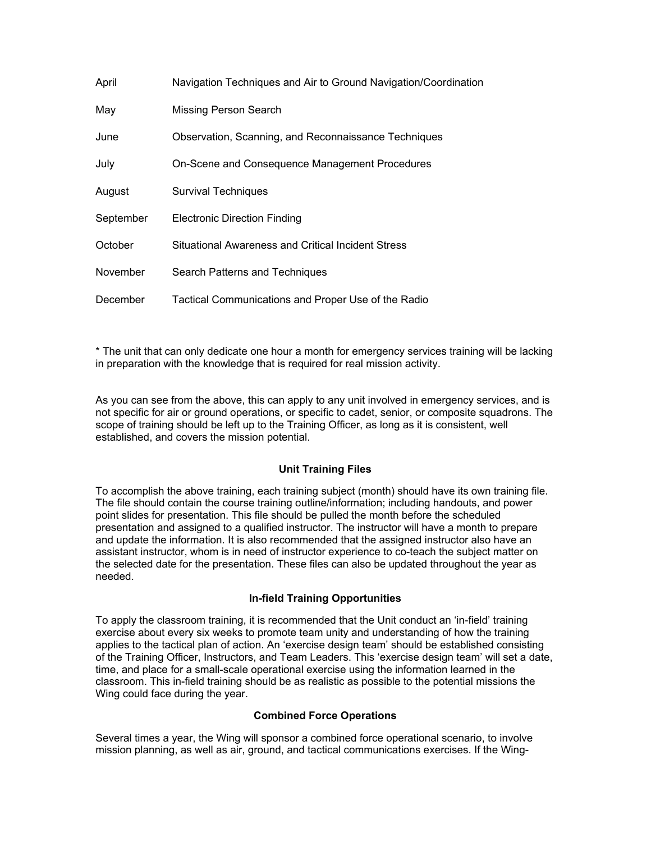| April     | Navigation Techniques and Air to Ground Navigation/Coordination |
|-----------|-----------------------------------------------------------------|
| May       | Missing Person Search                                           |
| June      | Observation, Scanning, and Reconnaissance Techniques            |
| July      | On-Scene and Consequence Management Procedures                  |
| August    | <b>Survival Techniques</b>                                      |
| September | <b>Electronic Direction Finding</b>                             |
| October   | Situational Awareness and Critical Incident Stress              |
| November  | Search Patterns and Techniques                                  |
| December  | Tactical Communications and Proper Use of the Radio             |

\* The unit that can only dedicate one hour a month for emergency services training will be lacking in preparation with the knowledge that is required for real mission activity.

As you can see from the above, this can apply to any unit involved in emergency services, and is not specific for air or ground operations, or specific to cadet, senior, or composite squadrons. The scope of training should be left up to the Training Officer, as long as it is consistent, well established, and covers the mission potential.

### **Unit Training Files**

To accomplish the above training, each training subject (month) should have its own training file. The file should contain the course training outline/information; including handouts, and power point slides for presentation. This file should be pulled the month before the scheduled presentation and assigned to a qualified instructor. The instructor will have a month to prepare and update the information. It is also recommended that the assigned instructor also have an assistant instructor, whom is in need of instructor experience to co-teach the subject matter on the selected date for the presentation. These files can also be updated throughout the year as needed.

### **In-field Training Opportunities**

To apply the classroom training, it is recommended that the Unit conduct an 'in-field' training exercise about every six weeks to promote team unity and understanding of how the training applies to the tactical plan of action. An 'exercise design team' should be established consisting of the Training Officer, Instructors, and Team Leaders. This 'exercise design team' will set a date, time, and place for a small-scale operational exercise using the information learned in the classroom. This in-field training should be as realistic as possible to the potential missions the Wing could face during the year.

### **Combined Force Operations**

Several times a year, the Wing will sponsor a combined force operational scenario, to involve mission planning, as well as air, ground, and tactical communications exercises. If the Wing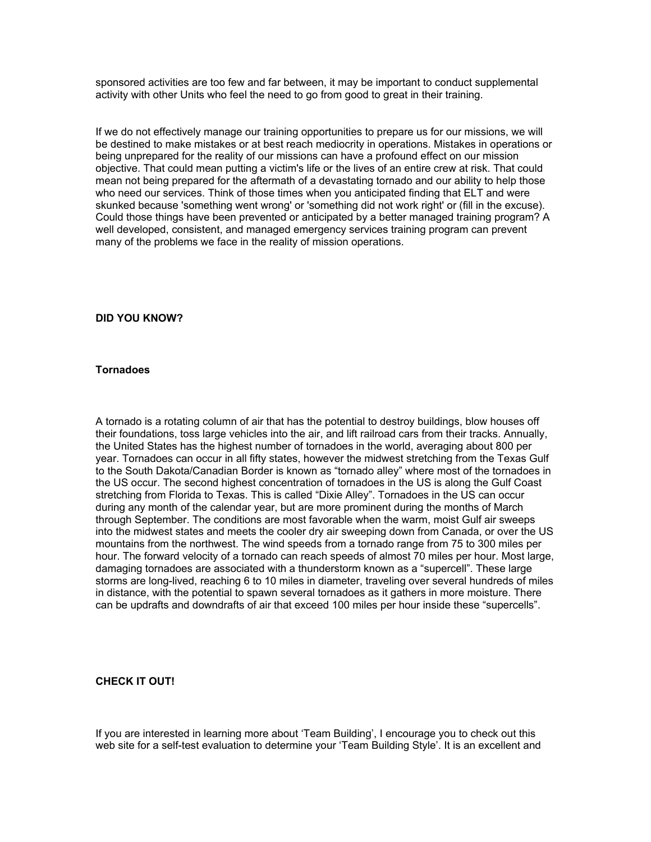sponsored activities are too few and far between, it may be important to conduct supplemental activity with other Units who feel the need to go from good to great in their training.

If we do not effectively manage our training opportunities to prepare us for our missions, we will be destined to make mistakes or at best reach mediocrity in operations. Mistakes in operations or being unprepared for the reality of our missions can have a profound effect on our mission objective. That could mean putting a victim's life or the lives of an entire crew at risk. That could mean not being prepared for the aftermath of a devastating tornado and our ability to help those who need our services. Think of those times when you anticipated finding that ELT and were skunked because 'something went wrong' or 'something did not work right' or (fill in the excuse). Could those things have been prevented or anticipated by a better managed training program? A well developed, consistent, and managed emergency services training program can prevent many of the problems we face in the reality of mission operations.

### **DID YOU KNOW?**

#### **Tornadoes**

A tornado is a rotating column of air that has the potential to destroy buildings, blow houses off their foundations, toss large vehicles into the air, and lift railroad cars from their tracks. Annually, the United States has the highest number of tornadoes in the world, averaging about 800 per year. Tornadoes can occur in all fifty states, however the midwest stretching from the Texas Gulf to the South Dakota/Canadian Border is known as "tornado alley" where most of the tornadoes in the US occur. The second highest concentration of tornadoes in the US is along the Gulf Coast stretching from Florida to Texas. This is called "Dixie Alley". Tornadoes in the US can occur during any month of the calendar year, but are more prominent during the months of March through September. The conditions are most favorable when the warm, moist Gulf air sweeps into the midwest states and meets the cooler dry air sweeping down from Canada, or over the US mountains from the northwest. The wind speeds from a tornado range from 75 to 300 miles per hour. The forward velocity of a tornado can reach speeds of almost 70 miles per hour. Most large, damaging tornadoes are associated with a thunderstorm known as a "supercell". These large storms are long-lived, reaching 6 to 10 miles in diameter, traveling over several hundreds of miles in distance, with the potential to spawn several tornadoes as it gathers in more moisture. There can be updrafts and downdrafts of air that exceed 100 miles per hour inside these "supercells".

### **CHECK IT OUT!**

If you are interested in learning more about 'Team Building', I encourage you to check out this web site for a self-test evaluation to determine your 'Team Building Style'. It is an excellent and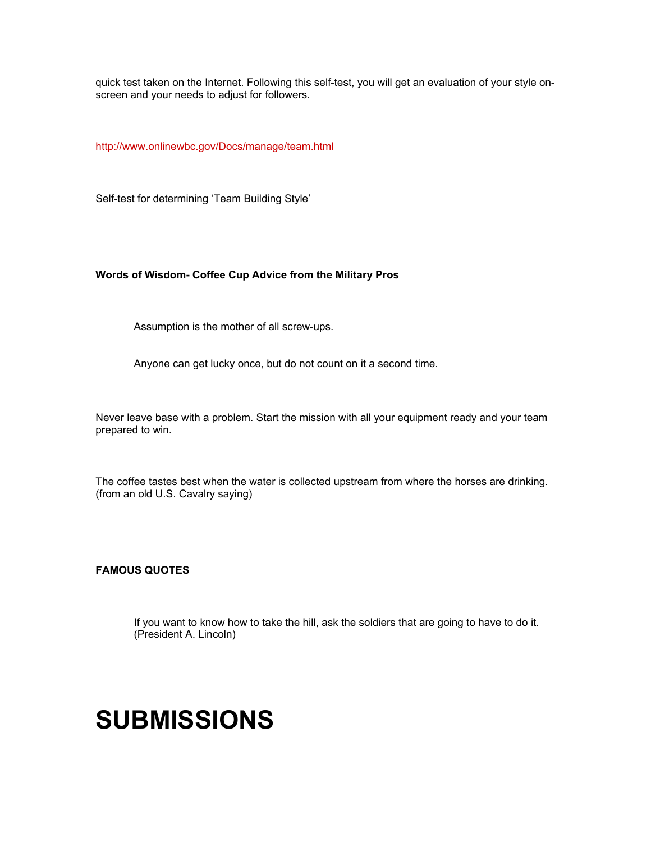quick test taken on the Internet. Following this self-test, you will get an evaluation of your style onscreen and your needs to adjust for followers.

<http://www.onlinewbc.gov/Docs/manage/team.html>

Self-test for determining 'Team Building Style'

### **Words of Wisdom- Coffee Cup Advice from the Military Pros**

Assumption is the mother of all screw-ups.

Anyone can get lucky once, but do not count on it a second time.

Never leave base with a problem. Start the mission with all your equipment ready and your team prepared to win.

The coffee tastes best when the water is collected upstream from where the horses are drinking. (from an old U.S. Cavalry saying)

**FAMOUS QUOTES** 

If you want to know how to take the hill, ask the soldiers that are going to have to do it. (President A. Lincoln)

## **SUBMISSIONS**